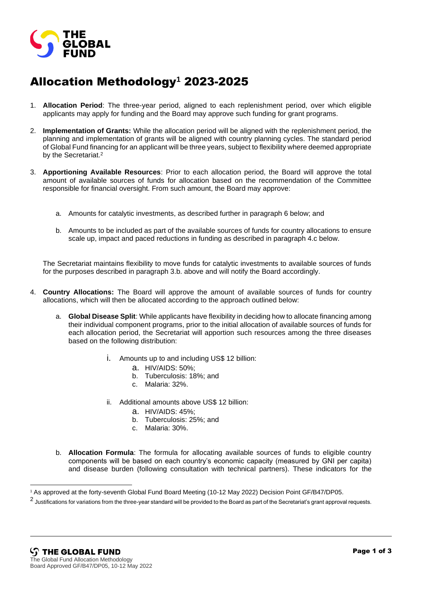

## Allocation Methodology**<sup>1</sup>** 2023-2025

- 1. **Allocation Period**: The three-year period, aligned to each replenishment period, over which eligible applicants may apply for funding and the Board may approve such funding for grant programs.
- 2. **Implementation of Grants:** While the allocation period will be aligned with the replenishment period, the planning and implementation of grants will be aligned with country planning cycles. The standard period of Global Fund financing for an applicant will be three years, subject to flexibility where deemed appropriate by the Secretariat.<sup>2</sup>
- 3. **Apportioning Available Resources**: Prior to each allocation period, the Board will approve the total amount of available sources of funds for allocation based on the recommendation of the Committee responsible for financial oversight. From such amount, the Board may approve:
	- a. Amounts for catalytic investments, as described further in paragraph 6 below; and
	- b. Amounts to be included as part of the available sources of funds for country allocations to ensure scale up, impact and paced reductions in funding as described in paragraph 4.c below.

The Secretariat maintains flexibility to move funds for catalytic investments to available sources of funds for the purposes described in paragraph 3.b. above and will notify the Board accordingly.

- 4. **Country Allocations:** The Board will approve the amount of available sources of funds for country allocations, which will then be allocated according to the approach outlined below:
	- a. **Global Disease Split**: While applicants have flexibility in deciding how to allocate financing among their individual component programs, prior to the initial allocation of available sources of funds for each allocation period, the Secretariat will apportion such resources among the three diseases based on the following distribution:
		- i. Amounts up to and including US\$ 12 billion:
			- a. HIV/AIDS: 50%;
			- b. Tuberculosis: 18%; and
			- c. Malaria: 32%.
		- ii. Additional amounts above US\$ 12 billion:
			- a. HIV/AIDS: 45%;
			- b. Tuberculosis: 25%; and
			- c. Malaria: 30%.
	- b. **Allocation Formula**: The formula for allocating available sources of funds to eligible country components will be based on each country's economic capacity (measured by GNI per capita) and disease burden (following consultation with technical partners). These indicators for the

<sup>1</sup> As approved at the forty-seventh Global Fund Board Meeting (10-12 May 2022) Decision Point GF/B47/DP05.

 $^2$  Justifications for variations from the three-year standard will be provided to the Board as part of the Secretariat's grant approval requests.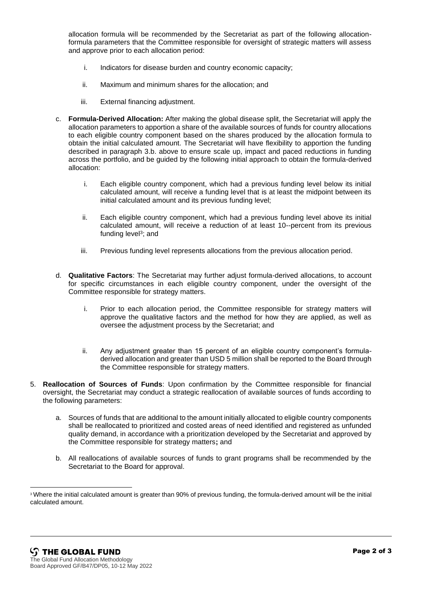allocation formula will be recommended by the Secretariat as part of the following allocationformula parameters that the Committee responsible for oversight of strategic matters will assess and approve prior to each allocation period:

- i. Indicators for disease burden and country economic capacity;
- ii. Maximum and minimum shares for the allocation; and
- iii. External financing adjustment.
- c. **Formula-Derived Allocation:** After making the global disease split, the Secretariat will apply the allocation parameters to apportion a share of the available sources of funds for country allocations to each eligible country component based on the shares produced by the allocation formula to obtain the initial calculated amount. The Secretariat will have flexibility to apportion the funding described in paragraph 3.b. above to ensure scale up, impact and paced reductions in funding across the portfolio, and be guided by the following initial approach to obtain the formula-derived allocation:
	- i. Each eligible country component, which had a previous funding level below its initial calculated amount, will receive a funding level that is at least the midpoint between its initial calculated amount and its previous funding level;
	- ii. Each eligible country component, which had a previous funding level above its initial calculated amount, will receive a reduction of at least 10--percent from its previous funding level<sup>3</sup>; and
	- iii. Previous funding level represents allocations from the previous allocation period.
- d. **Qualitative Factors**: The Secretariat may further adjust formula-derived allocations, to account for specific circumstances in each eligible country component, under the oversight of the Committee responsible for strategy matters.
	- i. Prior to each allocation period, the Committee responsible for strategy matters will approve the qualitative factors and the method for how they are applied, as well as oversee the adjustment process by the Secretariat; and
	- ii. Any adjustment greater than 15 percent of an eligible country component's formuladerived allocation and greater than USD 5 million shall be reported to the Board through the Committee responsible for strategy matters.
- 5. **Reallocation of Sources of Funds**: Upon confirmation by the Committee responsible for financial oversight, the Secretariat may conduct a strategic reallocation of available sources of funds according to the following parameters:
	- a. Sources of funds that are additional to the amount initially allocated to eligible country components shall be reallocated to prioritized and costed areas of need identified and registered as unfunded quality demand, in accordance with a prioritization developed by the Secretariat and approved by the Committee responsible for strategy matters**;** and
	- b. All reallocations of available sources of funds to grant programs shall be recommended by the Secretariat to the Board for approval.

<sup>3</sup> Where the initial calculated amount is greater than 90% of previous funding, the formula-derived amount will be the initial calculated amount.